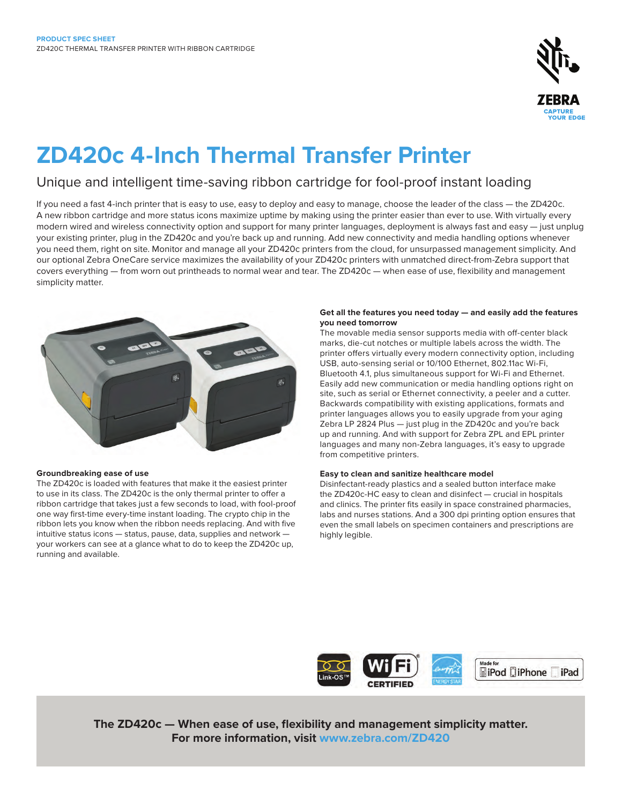

# **ZD420c 4-Inch Thermal Transfer Printer**

## Unique and intelligent time-saving ribbon cartridge for fool-proof instant loading

If you need a fast 4-inch printer that is easy to use, easy to deploy and easy to manage, choose the leader of the class — the ZD420c. A new ribbon cartridge and more status icons maximize uptime by making using the printer easier than ever to use. With virtually every modern wired and wireless connectivity option and support for many printer languages, deployment is always fast and easy — just unplug your existing printer, plug in the ZD420c and you're back up and running. Add new connectivity and media handling options whenever you need them, right on site. Monitor and manage all your ZD420c printers from the cloud, for unsurpassed management simplicity. And our optional Zebra OneCare service maximizes the availability of your ZD420c printers with unmatched direct-from-Zebra support that covers everything — from worn out printheads to normal wear and tear. The ZD420c — when ease of use, flexibility and management simplicity matter.



## **Groundbreaking ease of use**

The ZD420c is loaded with features that make it the easiest printer to use in its class. The ZD420c is the only thermal printer to offer a ribbon cartridge that takes just a few seconds to load, with fool-proof one way first-time every-time instant loading. The crypto chip in the ribbon lets you know when the ribbon needs replacing. And with five intuitive status icons — status, pause, data, supplies and network your workers can see at a glance what to do to keep the ZD420c up, running and available.

## **Get all the features you need today — and easily add the features you need tomorrow**

The movable media sensor supports media with off-center black marks, die-cut notches or multiple labels across the width. The printer offers virtually every modern connectivity option, including USB, auto-sensing serial or 10/100 Ethernet, 802.11ac Wi-Fi, Bluetooth 4.1, plus simultaneous support for Wi-Fi and Ethernet. Easily add new communication or media handling options right on site, such as serial or Ethernet connectivity, a peeler and a cutter. Backwards compatibility with existing applications, formats and printer languages allows you to easily upgrade from your aging Zebra LP 2824 Plus — just plug in the ZD420c and you're back up and running. And with support for Zebra ZPL and EPL printer languages and many non-Zebra languages, it's easy to upgrade from competitive printers.

## **Easy to clean and sanitize healthcare model**

Disinfectant-ready plastics and a sealed button interface make the ZD420c-HC easy to clean and disinfect — crucial in hospitals and clinics. The printer fits easily in space constrained pharmacies, labs and nurses stations. And a 300 dpi printing option ensures that even the small labels on specimen containers and prescriptions are highly legible.



**The ZD420c — When ease of use, flexibility and management simplicity matter. For more information, visit [www.zebra.com/ZD420](http://www.zebra.com/ZD420)**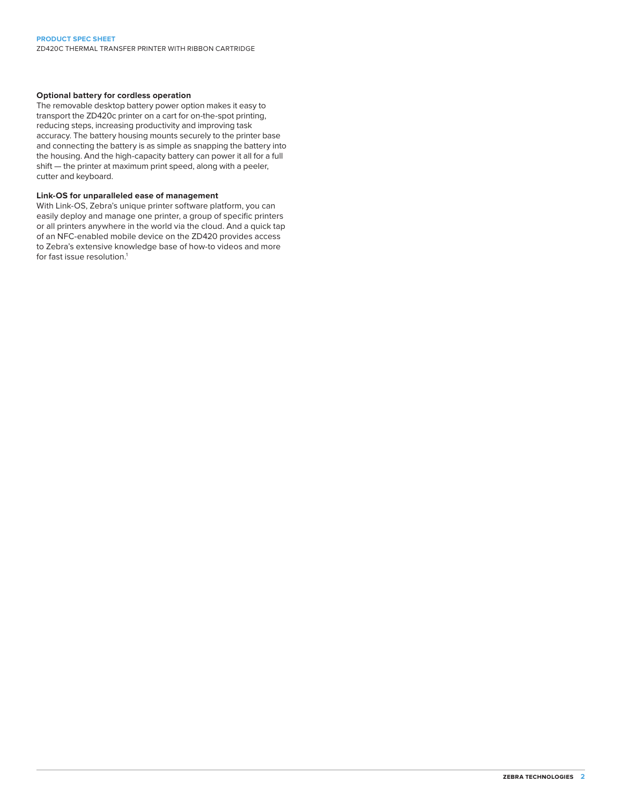ZD420C THERMAL TRANSFER PRINTER WITH RIBBON CARTRIDGE

## **Optional battery for cordless operation**

The removable desktop battery power option makes it easy to transport the ZD420c printer on a cart for on-the-spot printing, reducing steps, increasing productivity and improving task accuracy. The battery housing mounts securely to the printer base and connecting the battery is as simple as snapping the battery into the housing. And the high-capacity battery can power it all for a full shift — the printer at maximum print speed, along with a peeler, cutter and keyboard.

## **Link-OS for unparalleled ease of management**

With Link-OS, Zebra's unique printer software platform, you can easily deploy and manage one printer, a group of specific printers or all printers anywhere in the world via the cloud. And a quick tap of an NFC-enabled mobile device on the ZD420 provides access to Zebra's extensive knowledge base of how-to videos and more for fast issue resolution.<sup>1</sup>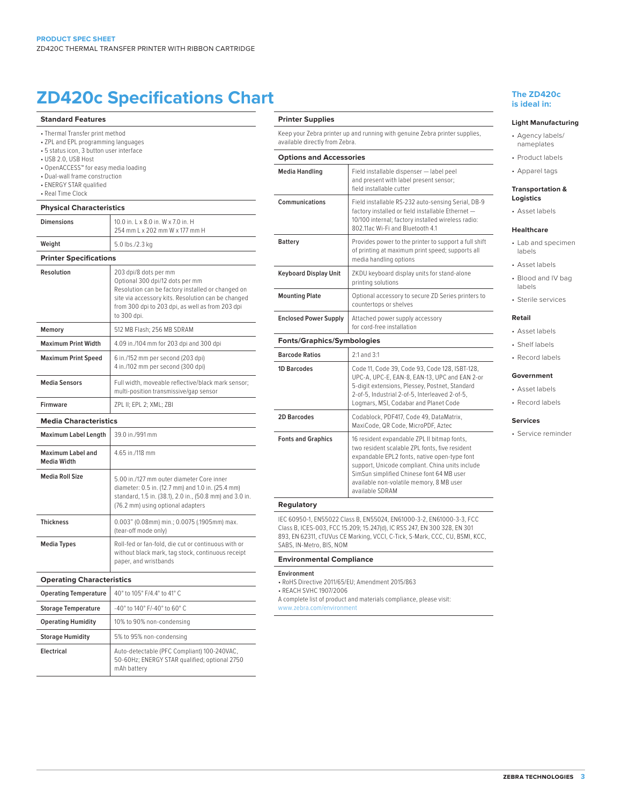# **ZD420c Specifications Chart The ZD420c**

**Standard Features** • Thermal Transfer print method • ZPL and EPL programming languages • 5 status icon, 3 button user interface • USB 2.0, USB Host • OpenACCESS™ for easy media loading • Dual-wall frame construction • ENERGY STAR qualified • Real Time Clock **Physical Characteristics Dimensions** 10.0 in. L x 8.0 in. W x 7.0 in. H 254 mm L x 202 mm W x 177 mm H **Weight** 5.0 lbs./2.3 kg **Printer Specifications**

| Resolution                              | 203 dpi/8 dots per mm<br>Optional 300 dpi/12 dots per mm<br>Resolution can be factory installed or changed on<br>site via accessory kits. Resolution can be changed<br>from 300 dpi to 203 dpi, as well as from 203 dpi<br>to 300 dpi. |  |
|-----------------------------------------|----------------------------------------------------------------------------------------------------------------------------------------------------------------------------------------------------------------------------------------|--|
| Memory                                  | 512 MB Flash: 256 MB SDRAM                                                                                                                                                                                                             |  |
| <b>Maximum Print Width</b>              | 4.09 in./104 mm for 203 dpi and 300 dpi                                                                                                                                                                                                |  |
| <b>Maximum Print Speed</b>              | 6 in./152 mm per second (203 dpi)<br>4 in./102 mm per second (300 dpi)                                                                                                                                                                 |  |
| <b>Media Sensors</b>                    | Full width, moveable reflective/black mark sensor;<br>multi-position transmissive/gap sensor                                                                                                                                           |  |
| Firmware                                | ZPL II; EPL 2; XML; ZBI                                                                                                                                                                                                                |  |
| <b>Media Characteristics</b>            |                                                                                                                                                                                                                                        |  |
| <b>Maximum Label Length</b>             | 39.0 in /991 mm                                                                                                                                                                                                                        |  |
| Maximum Label and<br><b>Media Width</b> | 4.65 in./118 mm                                                                                                                                                                                                                        |  |
| <b>Media Roll Size</b>                  | 5.00 in./127 mm outer diameter Core inner<br>diameter: 0.5 in. (12.7 mm) and 1.0 in. (25.4 mm)<br>standard, 1.5 in. (38.1), 2.0 in., (50.8 mm) and 3.0 in.<br>(76.2 mm) using optional adapters                                        |  |
| <b>Thickness</b>                        | 0.003" (0.08mm) min.; 0.0075 (.1905mm) max.<br>(tear-off mode only)                                                                                                                                                                    |  |
| <b>Media Types</b>                      | Roll-fed or fan-fold, die cut or continuous with or<br>without black mark, tag stock, continuous receipt<br>paper, and wristbands                                                                                                      |  |
| <b>Operating Characteristics</b>        |                                                                                                                                                                                                                                        |  |
| <b>Operating Temperature</b>            | 40° to 105° F/4.4° to 41° C                                                                                                                                                                                                            |  |
| <b>Storage Temperature</b>              | -40° to 140° F/-40° to 60° C                                                                                                                                                                                                           |  |
| <b>Operating Humidity</b>               | 10% to 90% non-condensing                                                                                                                                                                                                              |  |
| <b>Storage Humidity</b>                 | 5% to 95% non-condensing                                                                                                                                                                                                               |  |

| Operating Humidity      | TU% to 90% non-condensing                                                                                   |
|-------------------------|-------------------------------------------------------------------------------------------------------------|
| <b>Storage Humidity</b> | 5% to 95% non-condensing                                                                                    |
| Electrical              | Auto-detectable (PFC Compliant) 100-240VAC,<br>50-60Hz; ENERGY STAR qualified; optional 2750<br>mAh battery |

### **Printer Supplies**

Keep your Zebra printer up and running with genuine Zebra printer supplies, available directly from Zebra.

## **Options and Accessories Media Handling** Field installable dispenser — label peel

| ivieuid Hallulliy                 | Ligin iliprallanig niphalipal — langi hagi<br>and present with label present sensor;<br>field installable cutter                                                                                                                                                                                             |
|-----------------------------------|--------------------------------------------------------------------------------------------------------------------------------------------------------------------------------------------------------------------------------------------------------------------------------------------------------------|
| Communications                    | Field installable RS-232 auto-sensing Serial, DB-9<br>factory installed or field installable Ethernet -<br>10/100 internal; factory installed wireless radio:<br>802.11ac Wi-Fi and Bluetooth 4.1                                                                                                            |
| Battery                           | Provides power to the printer to support a full shift<br>of printing at maximum print speed; supports all<br>media handling options                                                                                                                                                                          |
| Keyboard Display Unit             | ZKDU keyboard display units for stand-alone<br>printing solutions                                                                                                                                                                                                                                            |
| <b>Mounting Plate</b>             | Optional accessory to secure ZD Series printers to<br>countertops or shelves                                                                                                                                                                                                                                 |
| <b>Enclosed Power Supply</b>      | Attached power supply accessory<br>for cord-free installation                                                                                                                                                                                                                                                |
| <b>Fonts/Graphics/Symbologies</b> |                                                                                                                                                                                                                                                                                                              |
| <b>Barcode Ratios</b>             | $2:1$ and $3:1$                                                                                                                                                                                                                                                                                              |
| <b>1D Barcodes</b>                | Code 11, Code 39, Code 93, Code 128, ISBT-128,<br>UPC-A, UPC-E, EAN-8, EAN-13, UPC and EAN 2-or<br>5-digit extensions, Plessey, Postnet, Standard<br>2-of-5, Industrial 2-of-5, Interleaved 2-of-5,<br>Logmars, MSI, Codabar and Planet Code                                                                 |
| <b>2D Barcodes</b>                | Codablock, PDF417, Code 49, DataMatrix,<br>MaxiCode, QR Code, MicroPDF, Aztec                                                                                                                                                                                                                                |
| <b>Fonts and Graphics</b>         | 16 resident expandable ZPL II bitmap fonts,<br>two resident scalable ZPL fonts, five resident<br>expandable EPL2 fonts, native open-type font<br>support, Unicode compliant. China units include<br>SimSun simplified Chinese font 64 MB user<br>available non-volatile memory, 8 MB user<br>available SDRAM |

## **Regulatory**

IEC 60950-1, EN55022 Class B, EN55024, EN61000-3-2, EN61000-3-3, FCC Class B, ICES-003, FCC 15.209; 15.247(d), IC RSS 247, EN 300 328, EN 301 893, EN 62311, cTUVus CE Marking, VCCI, C-Tick, S-Mark, CCC, CU, BSMI, KCC, SABS, IN-Metro, BIS, NOM

#### **Environmental Compliance**

#### **Environment**

- RoHS Directive 2011/65/EU; Amendment 2015/863
- REACH SVHC 1907/2006

A complete list of product and materials compliance, please visit:

[www.zebra.com/environment](https://www.zebra.com/us/en/about-zebra/company-information/compliance/products-and-materials-compliance/environmental-management.html)

## **is ideal in:**

#### **Light Manufacturing**

- Agency labels/ nameplates
- Product labels
- Apparel tags

#### **Transportation & Logistics**

• Asset labels

## **Healthcare**

- Lab and specimen labels
- Asset labels
- Blood and IV bag labels
- Sterile services

### **Retail**

- Asset labels • Shelf labels
- Record labels

#### **Government**

- Asset labels
- Record labels

## **Services**

• Service reminder